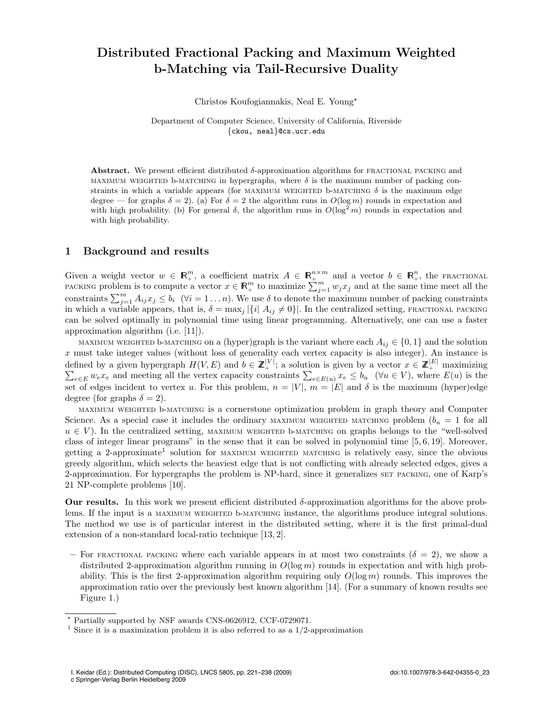# Distributed Fractional Packing and Maximum Weighted b-Matching via Tail-Recursive Duality

Christos Koufogiannakis, Neal E. Young?

Department of Computer Science, University of California, Riverside *{*ckou, neal*}*@cs.ucr.edu

Abstract. We present efficient distributed  $\delta$ -approximation algorithms for FRACTIONAL PACKING and MAXIMUM WEIGHTED b-MATCHING in hypergraphs, where  $\delta$  is the maximum number of packing constraints in which a variable appears (for MAXIMUM WEIGHTED b-MATCHING  $\delta$  is the maximum edge degree — for graphs  $\delta = 2$ ). (a) For  $\delta = 2$  the algorithm runs in  $O(\log m)$  rounds in expectation and with high probability. (b) For general  $\delta$ , the algorithm runs in  $O(\log^2 m)$  rounds in expectation and with high probability.

## 1 Background and results

Given a weight vector  $w \in \mathbb{R}^m_+$ , a coefficient matrix  $A \in \mathbb{R}^{n \times m}_+$  and a vector  $b \in \mathbb{R}^n_+$ , the fractional PACKING problem is to compute a vector  $x \in \mathbb{R}^m_+$  to maximize  $\sum_{j=1}^m w_j x_j$  and at the same time meet all the constraints  $\sum_{j=1}^{m} A_{ij} x_j \le b_i$  ( $\forall i = 1...n$ ). We use  $\delta$  to denote the maximum number of packing constraints in which a variable appears, that is,  $\delta = \max_j |\{i | A_{ij} \neq 0\}|$ . In the centralized setting, FRACTIONAL PACKING can be solved optimally in polynomial time using linear programming. Alternatively, one can use a faster approximation algorithm (i.e. [11]).

maximum weighted b-matching on a (hyper)graph is the variant where each  $A_{ij} \in \{0, 1\}$  and the solution *x* must take integer values (without loss of generality each vertex capacity is also integer). An instance is defined by a given hypergraph  $H(V, E)$  and  $b \in \mathbb{Z}_{+}^{|V|}$ ; a solution is given by a vector  $x \in \mathbb{Z}_{+}^{|E|}$  maximizing  $\sum_{e \in E} w_e x_e$  and meeting all the vertex capacity constraints  $\sum_{e \in E(u)} x_e \leq b_u$  ( $\forall u \in V$ ), whe set of edges incident to vertex *u*. For this problem,  $n = |V|$ ,  $m = |E|$  and  $\delta$  is the maximum (hyper)edge degree (for graphs  $\delta = 2$ ).

maximum weighted b-matching is a cornerstone optimization problem in graph theory and Computer Science. As a special case it includes the ordinary MAXIMUM WEIGHTED MATCHING problem  $(b<sub>u</sub> = 1$  for all  $u \in V$ ). In the centralized setting, maximum weighted b-matching on graphs belongs to the "well-solved" class of integer linear programs" in the sense that it can be solved in polynomial time [5, 6, 19]. Moreover, getting a 2-approximate<sup>1</sup> solution for MAXIMUM WEIGHTED MATCHING is relatively easy, since the obvious greedy algorithm, which selects the heaviest edge that is not conflicting with already selected edges, gives a 2-approximation. For hypergraphs the problem is NP-hard, since it generalizes set packing, one of Karp's 21 NP-complete problems [10].

Our results. In this work we present efficient distributed  $\delta$ -approximation algorithms for the above problems. If the input is a MAXIMUM WEIGHTED b-MATCHING instance, the algorithms produce integral solutions. The method we use is of particular interest in the distributed setting, where it is the first primal-dual extension of a non-standard local-ratio technique [13, 2].

– For FRACTIONAL PACKING where each variable appears in at most two constraints  $(\delta = 2)$ , we show a distributed 2-approximation algorithm running in *O*(log *m*) rounds in expectation and with high probability. This is the first 2-approximation algorithm requiring only *O*(log *m*) rounds. This improves the approximation ratio over the previously best known algorithm [14]. (For a summary of known results see Figure 1.)

<sup>?</sup> Partially supported by NSF awards CNS-0626912, CCF-0729071.

<sup>&</sup>lt;sup>1</sup> Since it is a maximization problem it is also referred to as a  $1/2$ -approximation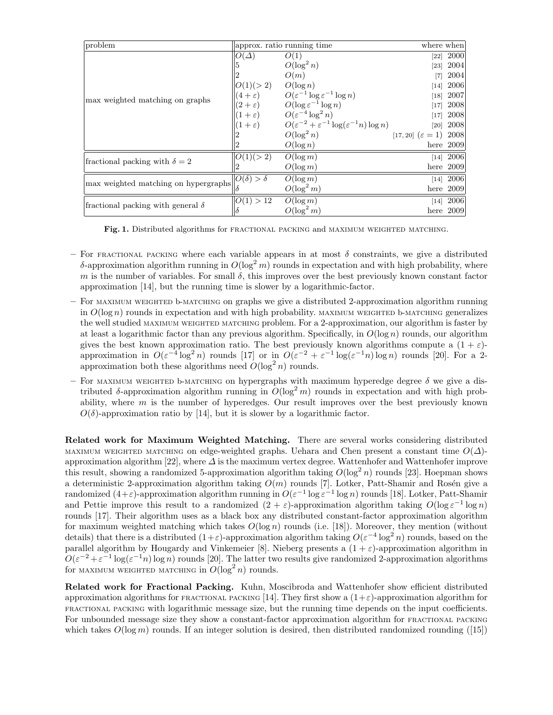| problem                                  | approx. ratio running time |                                                                                                                                                                                                                                                                                       | where when                         |             |
|------------------------------------------|----------------------------|---------------------------------------------------------------------------------------------------------------------------------------------------------------------------------------------------------------------------------------------------------------------------------------|------------------------------------|-------------|
| max weighted matching on graphs          | $O(\Delta)$                | O(1)                                                                                                                                                                                                                                                                                  |                                    | $[22]$ 2000 |
|                                          |                            | $O(\log^2 n)$                                                                                                                                                                                                                                                                         |                                    | $[23]$ 2004 |
|                                          |                            | O(m)                                                                                                                                                                                                                                                                                  | [7]                                | 2004        |
|                                          | $O(1)(>2)$ $O(\log n)$     |                                                                                                                                                                                                                                                                                       |                                    | $[14]$ 2006 |
|                                          |                            | $\begin{array}{lll} O(1)/\epsilon & O(\log \epsilon^{-1} \log \epsilon^{-1} \log n) \ (2+\epsilon) & O(\epsilon^{-1} \log \epsilon^{-1} \log n) \ (1+\epsilon) & O(\epsilon^{-4} \log^2 n) \  (1+\epsilon) & O(\epsilon^{-2}+\epsilon^{-1} \log(\epsilon^{-1} n) \log n) \end{array}$ |                                    | $[18]$ 2007 |
|                                          |                            |                                                                                                                                                                                                                                                                                       |                                    | $[17]$ 2008 |
|                                          |                            |                                                                                                                                                                                                                                                                                       |                                    | $[17]$ 2008 |
|                                          |                            |                                                                                                                                                                                                                                                                                       |                                    | $[20]$ 2008 |
|                                          |                            | $O(\log^2 n)$                                                                                                                                                                                                                                                                         | [17, 20] $(\varepsilon = 1)$ 2008] |             |
|                                          |                            | $O(\log n)$                                                                                                                                                                                                                                                                           |                                    | here $2009$ |
| fractional packing with $\delta = 2$     | O(1)(>2)                   | $O(\log m)$                                                                                                                                                                                                                                                                           |                                    | $[14]$ 2006 |
|                                          |                            | $O(\log m)$                                                                                                                                                                                                                                                                           |                                    | here $2009$ |
| max weighted matching on hypergraphs     | $  O(\delta) > \delta$     | $O(\log m)$                                                                                                                                                                                                                                                                           |                                    | $[14]$ 2006 |
|                                          |                            | $O(\log^2 m)$                                                                                                                                                                                                                                                                         |                                    | here $2009$ |
| fractional packing with general $\delta$ | O(1) > 12                  | $O(\log m)$                                                                                                                                                                                                                                                                           |                                    | $[14]$ 2006 |
|                                          |                            | $O(\log^2 m)$                                                                                                                                                                                                                                                                         |                                    | here $2009$ |

Fig. 1. Distributed algorithms for fractional packing and maximum weighted matching.

- For FRACTIONAL PACKING where each variable appears in at most  $\delta$  constraints, we give a distributed  $\delta$ -approximation algorithm running in  $O(\log^2 m)$  rounds in expectation and with high probability, where *m* is the number of variables. For small  $\delta$ , this improves over the best previously known constant factor approximation [14], but the running time is slower by a logarithmic-factor.
- For maximum weighted b-matching on graphs we give a distributed 2-approximation algorithm running in  $O(\log n)$  rounds in expectation and with high probability. MAXIMUM WEIGHTED b-MATCHING generalizes the well studied maximum weighted matching problem. For a 2-approximation, our algorithm is faster by at least a logarithmic factor than any previous algorithm. Specifically, in *O*(log *n*) rounds, our algorithm gives the best known approximation ratio. The best previously known algorithms compute a  $(1 + \varepsilon)$ approximation in  $O(\varepsilon^{-4} \log^2 n)$  rounds [17] or in  $O(\varepsilon^{-2} + \varepsilon^{-1} \log(\varepsilon^{-1} n) \log n)$  rounds [20]. For a 2approximation both these algorithms need  $O(\log^2 n)$  rounds.
- For MAXIMUM WEIGHTED b-MATCHING on hypergraphs with maximum hyperedge degree  $\delta$  we give a distributed  $\delta$ -approximation algorithm running in  $O(\log^2 m)$  rounds in expectation and with high probability, where *m* is the number of hyperedges. Our result improves over the best previously known  $O(\delta)$ -approximation ratio by [14], but it is slower by a logarithmic factor.

Related work for Maximum Weighted Matching. There are several works considering distributed maximum weighted matching on edge-weighted graphs. Uehara and Chen present a constant time  $O(\Delta)$ approximation algorithm [22], where  $\Delta$  is the maximum vertex degree. Wattenhofer and Wattenhofer improve this result, showing a randomized 5-approximation algorithm taking  $O(\log^2 n)$  rounds [23]. Hoepman shows a deterministic 2-approximation algorithm taking  $O(m)$  rounds [7]. Lotker, Patt-Shamir and Rosén give a randomized  $(4+\varepsilon)$ -approximation algorithm running in  $O(\varepsilon^{-1} \log \varepsilon^{-1} \log n)$  rounds [18]. Lotker, Patt-Shamir and Pettie improve this result to a randomized  $(2 + \varepsilon)$ -approximation algorithm taking  $O(\log \varepsilon^{-1} \log n)$ rounds [17]. Their algorithm uses as a black box any distributed constant-factor approximation algorithm for maximum weighted matching which takes *O*(log *n*) rounds (i.e. [18]). Moreover, they mention (without details) that there is a distributed  $(1+\varepsilon)$ -approximation algorithm taking  $O(\varepsilon^{-4} \log^2 n)$  rounds, based on the parallel algorithm by Hougardy and Vinkemeier [8]. Nieberg presents a  $(1 + \varepsilon)$ -approximation algorithm in  $O(\varepsilon^{-2} + \varepsilon^{-1} \log(\varepsilon^{-1} n) \log n)$  rounds [20]. The latter two results give randomized 2-approximation algorithms for MAXIMUM WEIGHTED MATCHING in  $O(\log^2 n)$  rounds.

Related work for Fractional Packing. Kuhn, Moscibroda and Wattenhofer show efficient distributed approximation algorithms for FRACTIONAL PACKING [14]. They first show a  $(1+\varepsilon)$ -approximation algorithm for FRACTIONAL PACKING with logarithmic message size, but the running time depends on the input coefficients. For unbounded message size they show a constant-factor approximation algorithm for FRACTIONAL PACKING which takes  $O(\log m)$  rounds. If an integer solution is desired, then distributed randomized rounding  $(15)$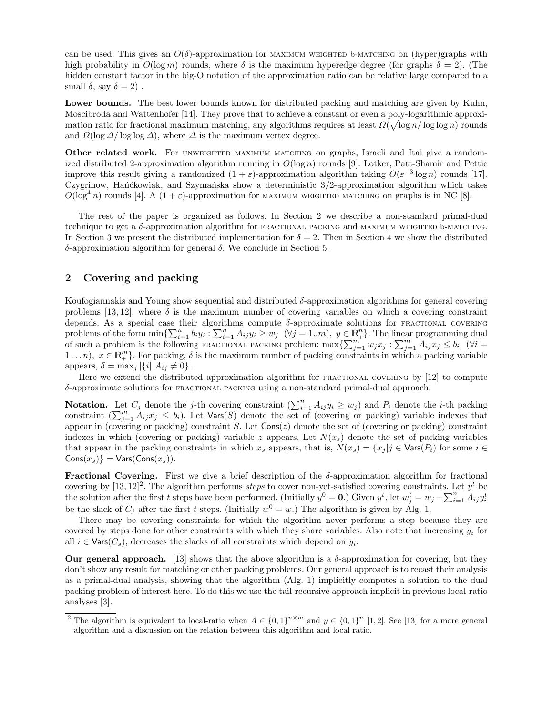can be used. This gives an  $O(\delta)$ -approximation for MAXIMUM WEIGHTED b-MATCHING on (hyper)graphs with high probability in  $O(\log m)$  rounds, where  $\delta$  is the maximum hyperedge degree (for graphs  $\delta = 2$ ). (The hidden constant factor in the big-O notation of the approximation ratio can be relative large compared to a small  $\delta$ , say  $\delta = 2$ ).

Lower bounds. The best lower bounds known for distributed packing and matching are given by Kuhn, Moscibroda and Wattenhofer [14]. They prove that to achieve a constant or even a poly-logarithmic approximation ratio for fractional maximum matching, any algorithms requires at least  $\Omega(\sqrt{\log n/\log\log n})$  rounds and  $\Omega(\log \Delta/\log \log \Delta)$ , where  $\Delta$  is the maximum vertex degree.

Other related work. For UNWEIGHTED MAXIMUM MATCHING on graphs, Israeli and Itai give a randomized distributed 2-approximation algorithm running in *O*(log *n*) rounds [9]. Lotker, Patt-Shamir and Pettie improve this result giving a randomized  $(1 + \varepsilon)$ -approximation algorithm taking  $O(\varepsilon^{-3} \log n)$  rounds [17]. Czygrinow, Han´ckowiak, and Szyman´ska show a deterministic  $3/2$ -approximation algorithm which takes  $O(\log^4 n)$  rounds [4]. A  $(1+\varepsilon)$ -approximation for MAXIMUM WEIGHTED MATCHING on graphs is in NC [8].

The rest of the paper is organized as follows. In Section 2 we describe a non-standard primal-dual technique to get a  $\delta$ -approximation algorithm for FRACTIONAL PACKING and MAXIMUM WEIGHTED b-MATCHING. In Section 3 we present the distributed implementation for  $\delta = 2$ . Then in Section 4 we show the distributed  $\delta$ -approximation algorithm for general  $\delta$ . We conclude in Section 5.

## 2 Covering and packing

Koufogiannakis and Young show sequential and distributed  $\delta$ -approximation algorithms for general covering problems [13, 12], where  $\delta$  is the maximum number of covering variables on which a covering constraint depends. As a special case their algorithms compute  $\delta$ -approximate solutions for FRACTIONAL COVERING problems of the form  $\min\{\sum_{i=1}^n b_i y_i : \sum_{i=1}^n A_{ij} y_i \geq w_j \mid (\forall j=1..m), y \in \mathbb{R}^n+\}$ . The linear programming dual of such a problem is the following FRACTIONAL PACKING problem:  $\max\left\{\sum_{j=1}^{m} w_j x_j : \sum_{j=1}^{m} A_{ij} x_j \leq b_i \right\}$  ( $\forall i =$ 1...*n*),  $x \in \mathbb{R}^m_+$ . For packing,  $\delta$  is the maximum number of packing constraints in which a packing variable appears,  $\delta = \max_i |\{i | A_{ij} \neq 0\}|$ .

Here we extend the distributed approximation algorithm for FRACTIONAL COVERING by [12] to compute  $\delta$ -approximate solutions for  $FRACTIONAL$  packing using a non-standard primal-dual approach.

Notation. Let  $C_j$  denote the *j*-th covering constraint  $(\sum_{i=1}^n A_{ij}y_i \geq w_j)$  and  $P_i$  denote the *i*-th packing constraint  $\left(\sum_{j=1}^m A_{ij}x_j \leq b_i\right)$ . Let  $\text{Vars}(S)$  denote the set of (covering or packing) variable indexes that appear in (covering or packing) constraint *S*. Let Cons(*z*) denote the set of (covering or packing) constraint indexes in which (covering or packing) variable  $z$  appears. Let  $N(x<sub>s</sub>)$  denote the set of packing variables that appear in the packing constraints in which  $x_s$  appears, that is,  $N(x_s) = \{x_i | j \in \text{Vars}(P_i) \text{ for some } i \in \text{�}$  $\text{Cons}(x_s)$ } =  $\text{Vars}(\text{Cons}(x_s))$ .

Fractional Covering. First we give a brief description of the  $\delta$ -approximation algorithm for fractional covering by  $[13, 12]^2$ . The algorithm performs *steps* to cover non-yet-satisfied covering constraints. Let  $y^t$  be the solution after the first t steps have been performed. (Initially  $y^0 = 0$ .) Given  $y^t$ , let  $w_j^t = w_j - \sum_{i=1}^n A_{ij} y_i^t$ be the slack of  $C_i$  after the first *t* steps. (Initially  $w^0 = w$ .) The algorithm is given by Alg. 1.

There may be covering constraints for which the algorithm never performs a step because they are covered by steps done for other constraints with which they share variables. Also note that increasing  $y_i$  for all  $i \in \text{Vars}(C_s)$ , decreases the slacks of all constraints which depend on  $y_i$ .

Our general approach. [13] shows that the above algorithm is a  $\delta$ -approximation for covering, but they don't show any result for matching or other packing problems. Our general approach is to recast their analysis as a primal-dual analysis, showing that the algorithm (Alg. 1) implicitly computes a solution to the dual packing problem of interest here. To do this we use the tail-recursive approach implicit in previous local-ratio analyses [3].

<sup>&</sup>lt;sup>2</sup> The algorithm is equivalent to local-ratio when  $A \in \{0,1\}^{n \times m}$  and  $y \in \{0,1\}^n$  [1, 2]. See [13] for a more general algorithm and a discussion on the relation between this algorithm and local ratio.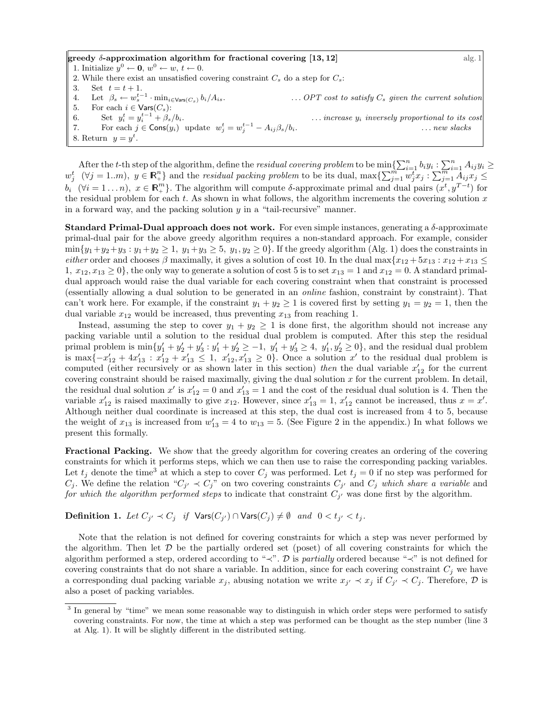greedy  $\delta$ -approximation algorithm for fractional covering [13, 12] alg. 1 1. Initialize  $y^0 \leftarrow \mathbf{0}, w^0 \leftarrow w, t \leftarrow 0.$ 2. While there exist an unsatisfied covering constraint  $C_s$  do a step for  $C_s$ : 3. Set  $t = t + 1$ . 4. Let  $\beta_s \leftarrow w_s^{t-1} \cdot \min_{i \in \text{Vars}(C_s)} b_i/A_{is}.$  ... *OPT* cost to satisfy  $C_s$  given the current solution 5. For each  $i \in \text{Vars}(C_s)$ : 6. Set  $y_i^t = y_i^{t-1} + \beta_s/b_i$ . *increase*  $y_i$  *inversely proportional to its cost* 7. For each  $j \in \text{Cons}(y_i)$  update  $w_j^t = w_j^{t-1} - A_{ij}\beta_s/b_i$ . *... new slacks* 8. Return  $y = y^t$ .

After the *t*-th step of the algorithm, define the *residual covering problem* to be  $\min_{i=1}^n \sum_{i=1}^n b_i y_i$  :  $\sum_{i=1}^n A_{ij} y_i \ge$  $w_j^t$   $(\forall j = 1..m)$ ,  $y \in \mathbb{R}^n_+$  and the residual packing problem to be its dual,  $\max\{\sum_{j=1}^m w_j^t x_j : \sum_{j=1}^m A_{ij} x_j \leq \sum_{j=1}^m A_{ij} x_j\}$  $b_i$  ( $\forall i = 1...n$ ),  $x \in \mathbb{R}^m_+$ . The algorithm will compute  $\delta$ -approximate primal and dual pairs  $(x^t, y^{T-t})$  for the residual problem for each *t*. As shown in what follows, the algorithm increments the covering solution *x* in a forward way, and the packing solution *y* in a "tail-recursive" manner.

**Standard Primal-Dual approach does not work.** For even simple instances, generating a  $\delta$ -approximate primal-dual pair for the above greedy algorithm requires a non-standard approach. For example, consider  $\min\{y_1+y_2+y_3: y_1+y_2\geq 1, y_1+y_3\geq 5, y_1,y_2\geq 0\}$ . If the greedy algorithm (Alg. 1) does the constraints in *either* order and chooses  $\beta$  maximally, it gives a solution of cost 10. In the dual max $\{x_{12} + 5x_{13} : x_{12} + x_{13} \leq x_{12} + x_{13} \}$ 1,  $x_{12}, x_{13} \ge 0$ , the only way to generate a solution of cost 5 is to set  $x_{13} = 1$  and  $x_{12} = 0$ . A standard primaldual approach would raise the dual variable for each covering constraint when that constraint is processed (essentially allowing a dual solution to be generated in an *online* fashion, constraint by constraint). That can't work here. For example, if the constraint  $y_1 + y_2 \ge 1$  is covered first by setting  $y_1 = y_2 = 1$ , then the dual variable  $x_{12}$  would be increased, thus preventing  $x_{13}$  from reaching 1.

Instead, assuming the step to cover  $y_1 + y_2 \ge 1$  is done first, the algorithm should not increase any packing variable until a solution to the residual dual problem is computed. After this step the residual primal problem is  $\min\{y_1' + y_2' + y_3' : y_1' + y_2' \ge -1, y_1' + y_3' \ge 4, y_1', y_2' \ge 0\}$ , and the residual dual problem is max $\{-x'_{12} + 4x'_{13} : x'_{12} + x'_{13} \leq 1, x'_{12}, x'_{13} \geq 0\}$ . Once a solution *x'* to the residual dual problem is computed (either recursively or as shown later in this section) *then* the dual variable  $x_{12}$  for the current covering constraint should be raised maximally, giving the dual solution *x* for the current problem. In detail, the residual dual solution  $x'$  is  $x'_{12} = 0$  and  $x'_{13} = 1$  and the cost of the residual dual solution is 4. Then the variable  $x'_{12}$  is raised maximally to give  $x_{12}$ . However, since  $x'_{13} = 1$ ,  $x'_{12}$  cannot be increased, thus  $x = x'$ . Although neither dual coordinate is increased at this step, the dual cost is increased from 4 to 5, because the weight of  $x_{13}$  is increased from  $w'_{13} = 4$  to  $w_{13} = 5$ . (See Figure 2 in the appendix.) In what follows we present this formally.

Fractional Packing. We show that the greedy algorithm for covering creates an ordering of the covering constraints for which it performs steps, which we can then use to raise the corresponding packing variables. Let  $t_j$  denote the time<sup>3</sup> at which a step to cover  $C_j$  was performed. Let  $t_j = 0$  if no step was performed for  $C_j$ . We define the relation " $C_{j'} \prec C_j$ " on two covering constraints  $C_{j'}$  and  $C_j$  *which share a variable* and *for which the algorithm performed steps* to indicate that constraint  $C_{j'}$  was done first by the algorithm.

**Definition 1.** Let  $C_{j'} \prec C_j$  if  $\text{Vars}(C_{j'}) \cap \text{Vars}(C_j) \neq \emptyset$  and  $0 < t_{j'} < t_j$ .

Note that the relation is not defined for covering constraints for which a step was never performed by the algorithm. Then let  $D$  be the partially ordered set (poset) of all covering constraints for which the algorithm performed a step, ordered according to " $\prec$ ". *D* is *partially* ordered because " $\prec$ " is not defined for covering constraints that do not share a variable. In addition, since for each covering constraint  $C_i$  we have a corresponding dual packing variable  $x_j$ , abusing notation we write  $x_{j'} \prec x_j$  if  $C_{j'} \prec C_j$ . Therefore,  $\mathcal D$  is also a poset of packing variables.

<sup>&</sup>lt;sup>3</sup> In general by "time" we mean some reasonable way to distinguish in which order steps were performed to satisfy covering constraints. For now, the time at which a step was performed can be thought as the step number (line 3 at Alg. 1). It will be slightly different in the distributed setting.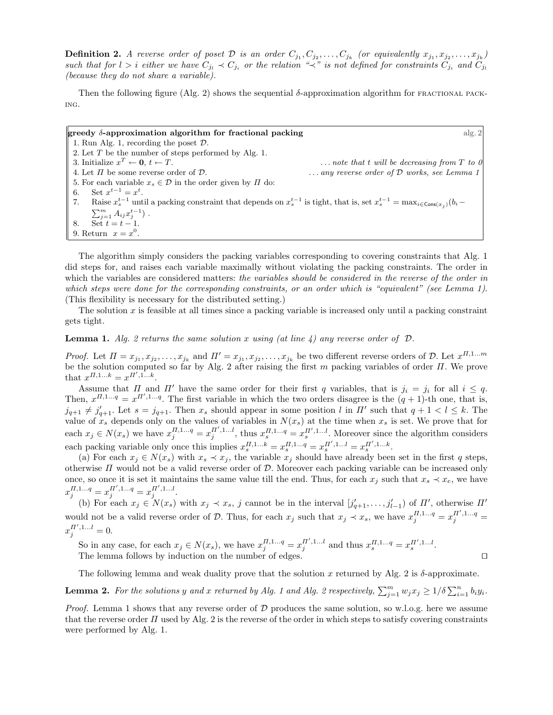**Definition 2.** A reverse order of poset D is an order  $C_{j_1}, C_{j_2}, \ldots, C_{j_k}$  (or equivalently  $x_{j_1}, x_{j_2}, \ldots, x_{j_k}$ ) such that for  $l > i$  either we have  $C_{j_l} \prec C_{j_i}$  or the relation " $\prec$ " is not defined for constraints  $C_{j_i}$  and  $C_{j_i}$ *(because they do not share a variable).*

Then the following figure (Alg. 2) shows the sequential  $\delta$ -approximation algorithm for FRACTIONAL PACKing.

| greedy $\delta$ -approximation algorithm for fractional packing                                                                                          | alg.2                                               |
|----------------------------------------------------------------------------------------------------------------------------------------------------------|-----------------------------------------------------|
| 1. Run Alg. 1, recording the poset $\mathcal{D}$ .                                                                                                       |                                                     |
| 2. Let $T$ be the number of steps performed by Alg. 1.                                                                                                   |                                                     |
| 3. Initialize $x^T \leftarrow \mathbf{0}, t \leftarrow T$ .                                                                                              | $\ldots$ note that t will be decreasing from T to 0 |
| 4. Let $\Pi$ be some reverse order of $\mathcal{D}$ .                                                                                                    | any reverse order of $D$ works, see Lemma 1         |
| 5. For each variable $x_s \in \mathcal{D}$ in the order given by $\Pi$ do:                                                                               |                                                     |
| Set $x^{t-1} = x^t$ .<br>6.                                                                                                                              |                                                     |
| 7.<br>Raise $x_s^{t-1}$ until a packing constraint that depends on $x_s^{t-1}$ is tight, that is, set $x_s^{t-1} = \max_{i \in \text{Cons}(x_i)} (b_i -$ |                                                     |
| $\sum_{j=1}^m A_{ij} x_j^{t-1}$ .                                                                                                                        |                                                     |
| $\sum_{t=1}^{t} t = t-1.$<br>8.                                                                                                                          |                                                     |
| 9. Return $x = x^0$ .                                                                                                                                    |                                                     |

The algorithm simply considers the packing variables corresponding to covering constraints that Alg. 1 did steps for, and raises each variable maximally without violating the packing constraints. The order in which the variables are considered matters: *the variables should be considered in the reverse of the order in which steps were done for the corresponding constraints, or an order which is "equivalent" (see Lemma 1)*. (This flexibility is necessary for the distributed setting.)

The solution *x* is feasible at all times since a packing variable is increased only until a packing constraint gets tight.

**Lemma 1.** *Alg. 2 returns the same solution x using* (*at line 4*) *any reverse order of*  $D$ *.* 

*Proof.* Let  $\Pi = x_{j_1}, x_{j_2}, \ldots, x_{j_k}$  and  $\Pi' = x_{j_1}, x_{j_2}, \ldots, x_{j_k}$  be two different reverse orders of  $D$ . Let  $x^{\Pi,1\ldots m}$ be the solution computed so far by Alg. 2 after raising the first  $m$  packing variables of order  $\Pi$ . We prove that  $x^{\Pi,1...k} = x^{\Pi',1...k}$ .

Assume that  $\Pi$  and  $\Pi'$  have the same order for their first *q* variables, that is  $j_i = j_i$  for all  $i \leq q$ . Then,  $x^{II,1...q} = x^{II',1...q}$ . The first variable in which the two orders disagree is the  $(q + 1)$ -th one, that is,  $j_{q+1} \neq j'_{q+1}$ . Let  $s = j_{q+1}$ . Then  $x_s$  should appear in some position *l* in  $\Pi'$  such that  $q + 1 < l \leq k$ . The value of  $x_s$  depends only on the values of variables in  $N(x_s)$  at the time when  $x_s$  is set. We prove that for each  $x_j \in N(x_s)$  we have  $x_j^{H,1...q} = x_j^{H',1...l}$ , thus  $x_s^{H,1...q} = x_s^{H',1...l}$ . Moreover since the algorithm considers each packing variable only once this implies  $x_s^{H,1...k} = x_s^{H,1...q} = x_s^{H',1...l} = x_s^{H',1...k}$ .

(a) For each  $x_j \in N(x_s)$  with  $x_s \prec x_j$ , the variable  $x_j$  should have already been set in the first *q* steps, otherwise  $\Pi$  would not be a valid reverse order of  $D$ . Moreover each packing variable can be increased only once, so once it is set it maintains the same value till the end. Thus, for each  $x_j$  such that  $x_s \prec x_e$ , we have  $x_j^{H,1...q} = x_j^{H',1...q} = x_j^{H',1...l}.$ 

(b) For each  $x_j \in N(x_s)$  with  $x_j \prec x_s$ , *j* cannot be in the interval  $[j'_{q+1},...,j'_{l-1}]$  of  $\Pi'$ , otherwise  $\Pi'$ would not be a valid reverse order of *D*. Thus, for each  $x_j$  such that  $x_j \prec x_s$ , we have  $x_j^{H,1...q} = x_j^{H',1...q} =$  $x_j^{\Pi',1...l} = 0.$ 

So in any case, for each  $x_j \in N(x_s)$ , we have  $x_j^{H,1...q} = x_j^{H',1...l}$  and thus  $x_s^{H,1...q} = x_s^{H',1...l}$ . The lemma follows by induction on the number of edges.  $\Box$ 

The following lemma and weak duality prove that the solution  $x$  returned by Alg. 2 is  $\delta$ -approximate.

**Lemma 2.** For the solutions y and x returned by Alg. 1 and Alg. 2 respectively,  $\sum_{j=1}^{m} w_j x_j \geq 1/\delta \sum_{i=1}^{n} b_i y_i$ .

*Proof.* Lemma 1 shows that any reverse order of *D* produces the same solution, so w.l.o.g. here we assume that the reverse order  $\Pi$  used by Alg. 2 is the reverse of the order in which steps to satisfy covering constraints were performed by Alg. 1.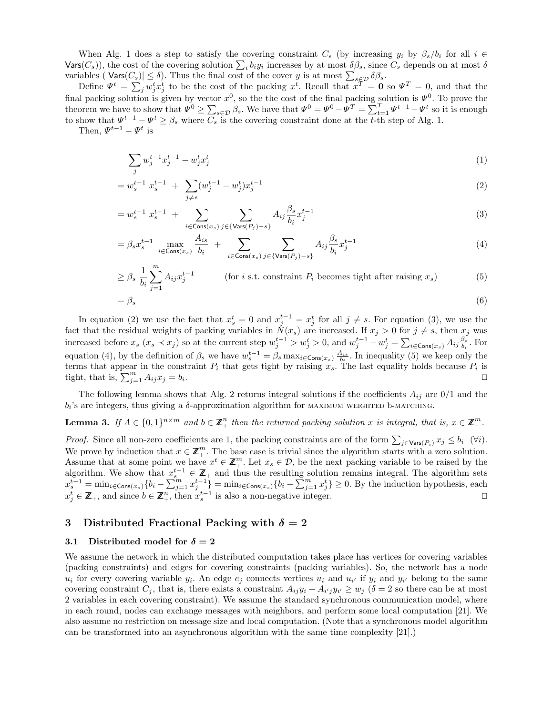When Alg. 1 does a step to satisfy the covering constraint  $C_s$  (by increasing  $y_i$  by  $\beta_s/b_i$  for all  $i \in$  $\text{Vars}(C_s)$ , the cost of the covering solution  $\sum_i b_i y_i$  increases by at most  $\delta\beta_s$ , since  $C_s$  depends on at most  $\delta$ variables ( $|{\sf Vars}(C_s)| \le \delta$ ). Thus the final cost of the cover *y* is at most  $\sum_{s \in \mathcal{D}} \delta \beta_s$ .

Define  $\Psi^t = \sum_j w_j^t x_j^t$  to be the cost of the packing  $x^t$ . Recall that  $x^t = \mathbf{0}$  so  $\Psi^T = 0$ , and that the final packing solution is given by vector  $x^0$ , so the the cost of the final packing solution is  $\Psi^0$ . To prove the theorem we have to show that  $\Psi^0 \ge \sum_{s \in \mathcal{D}} \beta_s$ . We have that  $\Psi^0 = \Psi^0 - \Psi^T = \sum_{t=1}^T \Psi^{t-1} - \Psi^t$  so it is enough to show that  $\Psi^{t-1} - \Psi^t \geq \beta_s$  where  $C_s$  is the covering constraint done at the *t*-th step of Alg. 1.

Then,  $\Psi^{t-1} - \Psi^t$  is

$$
\sum_{j} w_j^{t-1} x_j^{t-1} - w_j^t x_j^t \tag{1}
$$

$$
=w_s^{t-1} x_s^{t-1} + \sum_{j \neq s} (w_j^{t-1} - w_j^t) x_j^{t-1}
$$
\n
$$
\tag{2}
$$

$$
= w_s^{t-1} x_s^{t-1} + \sum_{i \in \text{Cons}(x_s)} \sum_{j \in \{\text{Vars}(P_j) - s\}} A_{ij} \frac{\beta_s}{b_i} x_j^{t-1}
$$
(3)

$$
= \beta_s x_s^{t-1} \max_{i \in \text{Cons}(x_s)} \frac{A_{is}}{b_i} + \sum_{i \in \text{Cons}(x_s)} \sum_{j \in \{\text{Vars}(P_j) - s\}} A_{ij} \frac{\beta_s}{b_i} x_j^{t-1}
$$
(4)

$$
\geq \beta_s \frac{1}{b_i} \sum_{j=1}^m A_{ij} x_j^{t-1}
$$
 (for *i* s.t. constraint  $P_i$  becomes tight after raising  $x_s$ ) (5)

$$
=\beta_s\tag{6}
$$

In equation (2) we use the fact that  $x_s^t = 0$  and  $x_{j}^{t-1} = x_j^t$  for all  $j \neq s$ . For equation (3), we use the fact that the residual weights of packing variables in  $N(x_s)$  are increased. If  $x_j > 0$  for  $j \neq s$ , then  $x_j$  was increased before  $x_s$   $(x_s \prec x_j)$  so at the current step  $w_j^{t-1} > w_j^t > 0$ , and  $w_j^{t-1} - w_j^t = \sum_{i \in \text{Cons}(x_s)} A_{ij} \frac{\beta_s}{b_i}$ . For equation (4), by the definition of  $\beta_s$  we have  $w_s^{t-1} = \beta_s \max_{i \in \text{Cons}(x_s)} \frac{A_{is}}{b_i}$ . In inequality (5) we keep only the terms that appear in the constraint  $P_i$  that gets tight by raising  $x_s$ . The last equality holds because  $P_i$  is tight, that is,  $\sum_{j=1}^{m} A_{ij} x_j = b_i$ .

The following lemma shows that Alg. 2 returns integral solutions if the coefficients  $A_{ij}$  are  $0/1$  and the  $b_i$ 's are integers, thus giving a  $\delta$ -approximation algorithm for MAXIMUM WEIGHTED b-MATCHING.

**Lemma 3.** If  $A \in \{0,1\}^{n \times m}$  and  $b \in \mathbb{Z}_{+}^{n}$  then the returned packing solution *x* is integral, that is,  $x \in \mathbb{Z}_{+}^{m}$ .

*Proof.* Since all non-zero coefficients are 1, the packing constraints are of the form  $\sum_{j \in \text{Vars}(P_i)} x_j \le b_i$  ( $\forall i$ ). We prove by induction that  $x \in \mathbb{Z}_{+}^{m}$ . The base case is trivial since the algorithm starts with a zero solution. Assume that at some point we have  $x^t \in \mathbb{Z}_+^m$ . Let  $x_s \in \mathcal{D}$ , be the next packing variable to be raised by the algorithm. We show that  $x_s^{t-1} \in \mathbb{Z}_+$  and thus the resulting solution remains integral. The algorithm sets  $x_s^{t-1} = \min_{i \in \text{Cons}(x_s)} \{b_i - \sum_{j=1}^m x_j^{t-1}\} = \min_{i \in \text{Cons}(x_s)} \{b_i - \sum_{j=1}^m x_j^t\} \ge 0.$  By the induction hypothesis, each  $x_j^t \in \mathbb{Z}_+$ , and since  $b \in \mathbb{Z}_+^n$ , then  $x_s^{t-1}$  is also a non-negative integer.

## 3 Distributed Fractional Packing with  $\delta = 2$

#### 3.1 Distributed model for  $\delta = 2$

We assume the network in which the distributed computation takes place has vertices for covering variables (packing constraints) and edges for covering constraints (packing variables). So, the network has a node *u<sub>i</sub>* for every covering variable  $y_i$ . An edge  $e_j$  connects vertices  $u_i$  and  $u_{i'}$  if  $y_i$  and  $y_{i'}$  belong to the same covering constraint  $C_j$ , that is, there exists a constraint  $A_{ij}y_i + A_{i'j}y_{i'} \geq w_j$  ( $\delta = 2$  so there can be at most 2 variables in each covering constraint). We assume the standard synchronous communication model, where in each round, nodes can exchange messages with neighbors, and perform some local computation [21]. We also assume no restriction on message size and local computation. (Note that a synchronous model algorithm can be transformed into an asynchronous algorithm with the same time complexity [21].)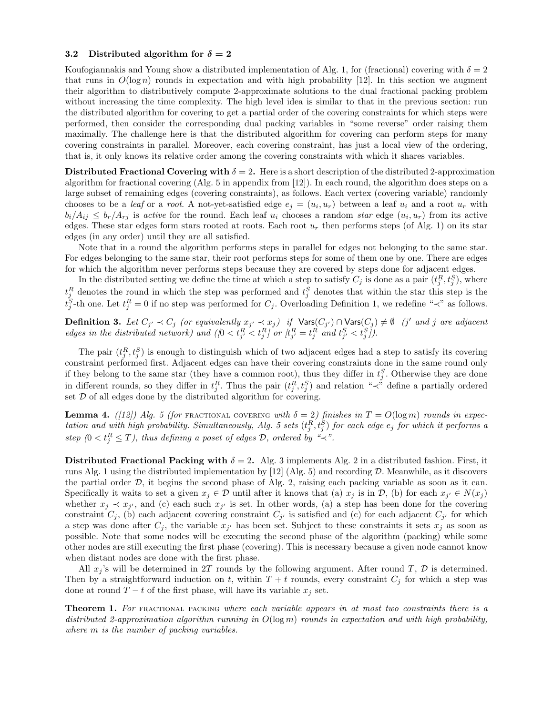#### 3.2 Distributed algorithm for  $\delta = 2$

Koufogiannakis and Young show a distributed implementation of Alg. 1, for (fractional) covering with  $\delta = 2$ that runs in  $O(\log n)$  rounds in expectation and with high probability [12]. In this section we augment their algorithm to distributively compute 2-approximate solutions to the dual fractional packing problem without increasing the time complexity. The high level idea is similar to that in the previous section: run the distributed algorithm for covering to get a partial order of the covering constraints for which steps were performed, then consider the corresponding dual packing variables in "some reverse" order raising them maximally. The challenge here is that the distributed algorithm for covering can perform steps for many covering constraints in parallel. Moreover, each covering constraint, has just a local view of the ordering, that is, it only knows its relative order among the covering constraints with which it shares variables.

Distributed Fractional Covering with  $\delta = 2$ . Here is a short description of the distributed 2-approximation algorithm for fractional covering (Alg. 5 in appendix from [12]). In each round, the algorithm does steps on a large subset of remaining edges (covering constraints), as follows. Each vertex (covering variable) randomly chooses to be a *leaf* or a *root*. A not-yet-satisfied edge  $e_j = (u_i, u_r)$  between a leaf  $u_i$  and a root  $u_r$  with  $b_i/A_{ij} \leq b_r/A_{rj}$  is *active* for the round. Each leaf  $u_i$  chooses a random *star* edge  $(u_i, u_r)$  from its active edges. These star edges form stars rooted at roots. Each root  $u_r$  then performs steps (of Alg. 1) on its star edges (in any order) until they are all satisfied.

Note that in a round the algorithm performs steps in parallel for edges not belonging to the same star. For edges belonging to the same star, their root performs steps for some of them one by one. There are edges for which the algorithm never performs steps because they are covered by steps done for adjacent edges.

In the distributed setting we define the time at which a step to satisfy  $C_j$  is done as a pair  $(t_j^R, t_j^S)$ , where  $t_j^R$  denotes the round in which the step was performed and  $t_j^S$  denotes that within the star this step is the  $t_j^S$ -th one. Let  $t_j^R = 0$  if no step was performed for *C<sub>j</sub>*. Overloading Definition 1, we redefine " $\prec$ " as follows.

**Definition 3.** Let  $C_{j'} \prec C_j$  (or equivalently  $x_{j'} \prec x_j$ ) if  $\text{Vars}(C_{j'}) \cap \text{Vars}(C_j) \neq \emptyset$  (j' and j are adjacent edges in the distributed network) and  $(0 < t_{j'}^R < t_j^R)$  or  $|t_{j'}^R = t_j^R$  and  $t_{j'}^S < t_j^S$ .

The pair  $(t_j^R, t_j^S)$  is enough to distinguish which of two adjacent edges had a step to satisfy its covering constraint performed first. Adjacent edges can have their covering constraints done in the same round only if they belong to the same star (they have a common root), thus they differ in  $t_j^S$ . Otherwise they are done in different rounds, so they differ in  $t_j^R$ . Thus the pair  $(t_j^R, t_j^S)$  and relation " $\prec$ " define a partially ordered set  $D$  of all edges done by the distributed algorithm for covering.

**Lemma 4.** *([12]) Alg. 5 (for* FRACTIONAL COVERING *with*  $\delta = 2$ ) *finishes in*  $T = O(\log m)$  *rounds in expec* $t$  *tation and with high probability. Simultaneously, Alg. 5 sets*  $(t_j^R, t_j^S)$  *for each edge*  $e_j$  *for which it performs a step*  $(0 < t_j^R \leq T)$ , thus defining a poset of edges  $D$ , ordered by " $\prec$ ".

Distributed Fractional Packing with  $\delta = 2$ . Alg. 3 implements Alg. 2 in a distributed fashion. First, it runs Alg. 1 using the distributed implementation by [12] (Alg. 5) and recording *D*. Meanwhile, as it discovers the partial order  $D$ , it begins the second phase of Alg. 2, raising each packing variable as soon as it can. Specifically it waits to set a given  $x_j \in \mathcal{D}$  until after it knows that (a)  $x_j$  is in  $\mathcal{D}$ , (b) for each  $x_{j'} \in N(x_j)$ whether  $x_j \prec x_{j'}$ , and (c) each such  $x_{j'}$  is set. In other words, (a) a step has been done for the covering constraint  $C_j$ , (b) each adjacent covering constraint  $C_{j'}$  is satisfied and (c) for each adjacent  $C_{j'}$  for which a step was done after  $C_j$ , the variable  $x_{j'}$  has been set. Subject to these constraints it sets  $x_j$  as soon as possible. Note that some nodes will be executing the second phase of the algorithm (packing) while some other nodes are still executing the first phase (covering). This is necessary because a given node cannot know when distant nodes are done with the first phase.

All  $x_j$ 's will be determined in 2T rounds by the following argument. After round T,  $D$  is determined. Then by a straightforward induction on *t*, within  $T + t$  rounds, every constraint  $C_j$  for which a step was done at round  $T - t$  of the first phase, will have its variable  $x_j$  set.

Theorem 1. *For* fractional packing *where each variable appears in at most two constraints there is a distributed 2-approximation algorithm running in O*(log *m*) *rounds in expectation and with high probability, where m is the number of packing variables.*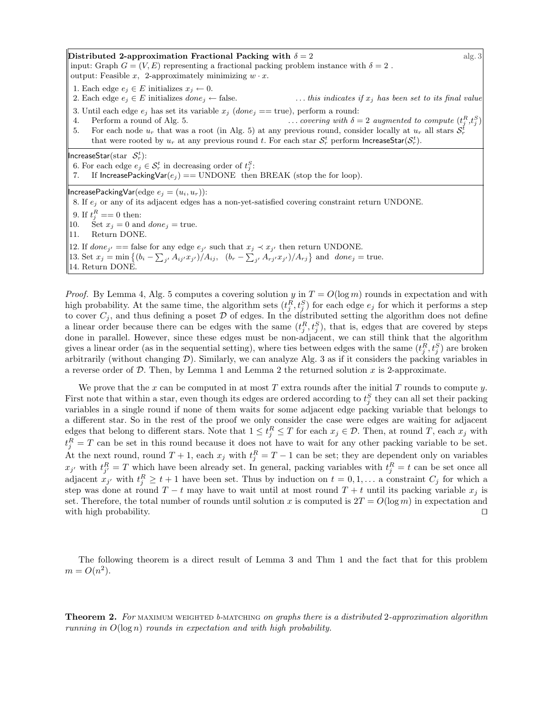Distributed 2-approximation Fractional Packing with  $\delta = 2$  alg. 3 input: Graph  $G = (V, E)$  representing a fractional packing problem instance with  $\delta = 2$ . output: Feasible *x*, 2-approximately minimizing  $w \cdot x$ . 1. Each edge  $e_j \in E$  initializes  $x_j \leftarrow 0$ .<br>2. Each edge  $e_j \in E$  initializes  $done_j \leftarrow false$ .  $\ldots$  *this indicates if*  $x_j$  *has been set to its final value* 3. Until each edge  $e_j$  has set its variable  $x_j$  (*done*<sub>j</sub> == true), perform a round: 4. Perform a round of Alg. 5.  $\ldots$  *covering with*  $\delta = 2$  *augmented to compute*  $(t_j^R, t_j^S)$ 5. For each node  $u_r$  that was a root (in Alg. 5) at any previous round, consider locally at  $u_r$  all stars  $S_r^t$ that were rooted by  $u_r$  at any previous round *t*. For each star  $S_r^t$  perform **IncreaseStar**( $S_r^t$ ).  $IncreaseStar(str & F_r):$ 6. For each edge  $e_j \in S_r^t$  in decreasing order of  $t_j^S$ : If IncreasePackingVar $(e_i)$  == UNDONE then BREAK (stop the for loop).  $I$ ncreasePackingVar $(\text{edge } e_j = (u_i, u_r))$ : 8. If *e<sup>j</sup>* or any of its adjacent edges has a non-yet-satisfied covering constraint return UNDONE. 9. If  $t_j^R == 0$  then: 10. Set  $x_j = 0$  and  $done_j = true$ . 11. Return DONE. 12. If  $done_{i'} ==$  false for any edge  $e_{i'}$  such that  $x_i \prec x_{i'}$  then return UNDONE. 13. Set  $x_j = \min \{(b_i - \sum_{j'} A_{ij'} x_{j'}) / A_{ij}, (b_r - \sum_{j'} A_{rj'} x_{j'}) / A_{rj}\}\$ and  $done_j = true$ . 14. Return DONE.

*Proof.* By Lemma 4, Alg. 5 computes a covering solution *y* in  $T = O(\log m)$  rounds in expectation and with high probability. At the same time, the algorithm sets  $(t_j^R, t_j^S)$  for each edge  $e_j$  for which it performs a step to cover  $C_j$ , and thus defining a poset  $\mathcal D$  of edges. In the distributed setting the algorithm does not define a linear order because there can be edges with the same  $(t_j^R, t_j^S)$ , that is, edges that are covered by steps done in parallel. However, since these edges must be non-adjacent, we can still think that the algorithm gives a linear order (as in the sequential setting), where ties between edges with the same  $(t_j^R, t_j^S)$  are broken arbitrarily (without changing *D*). Similarly, we can analyze Alg. 3 as if it considers the packing variables in a reverse order of *D*. Then, by Lemma 1 and Lemma 2 the returned solution *x* is 2-approximate.

We prove that the *x* can be computed in at most *T* extra rounds after the initial *T* rounds to compute *y*. First note that within a star, even though its edges are ordered according to  $t_j^S$  they can all set their packing variables in a single round if none of them waits for some adjacent edge packing variable that belongs to a different star. So in the rest of the proof we only consider the case were edges are waiting for adjacent edges that belong to different stars. Note that  $1 \le t_j^R \le T$  for each  $x_j \in \mathcal{D}$ . Then, at round *T*, each  $x_j$  with  $t_j^R = T$  can be set in this round because it does not have to wait for any other packing variable to be set. At the next round, round  $T + 1$ , each  $x_j$  with  $t_j^R = T - 1$  can be set; they are dependent only on variables  $x_{j'}$  with  $t_{j'}^R = T$  which have been already set. In general, packing variables with  $t_j^R = t$  can be set once all adjacent  $x_j$ <sup>*t*</sup> with  $t_j^R \ge t + 1$  have been set. Thus by induction on  $t = 0, 1, \ldots$  a constraint  $C_j$  for which a step was done at round  $T - t$  may have to wait until at most round  $T + t$  until its packing variable  $x_j$  is set. Therefore, the total number of rounds until solution *x* is computed is  $2T = O(\log m)$  in expectation and with high probability.  $\Box$ 

The following theorem is a direct result of Lemma 3 and Thm 1 and the fact that for this problem  $m = O(n^2)$ .

Theorem 2. *For* maximum weighted *b-*matching *on graphs there is a distributed* 2*-approximation algorithm running in O*(log *n*) *rounds in expectation and with high probability.*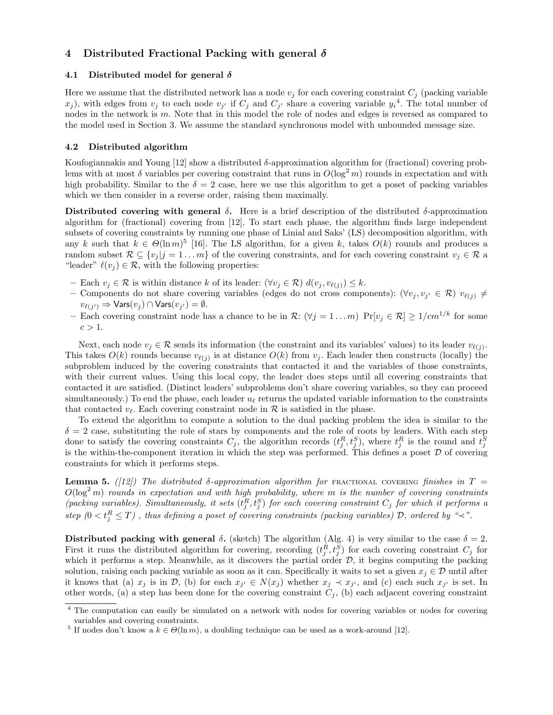## 4 Distributed Fractional Packing with general  $\delta$

#### 4.1 Distributed model for general  $\delta$

Here we assume that the distributed network has a node  $v_j$  for each covering constraint  $C_j$  (packing variable  $(x_j)$ , with edges from  $v_j$  to each node  $v_{j'}$  if  $C_j$  and  $C_{j'}$  share a covering variable  $y_i^4$ . The total number of nodes in the network is *m*. Note that in this model the role of nodes and edges is reversed as compared to the model used in Section 3. We assume the standard synchronous model with unbounded message size.

#### 4.2 Distributed algorithm

Koufogiannakis and Young [12] show a distributed  $\delta$ -approximation algorithm for (fractional) covering problems with at most  $\delta$  variables per covering constraint that runs in  $O(\log^2 m)$  rounds in expectation and with high probability. Similar to the  $\delta = 2$  case, here we use this algorithm to get a poset of packing variables which we then consider in a reverse order, raising them maximally.

Distributed covering with general  $\delta$ . Here is a brief description of the distributed  $\delta$ -approximation algorithm for (fractional) covering from [12]. To start each phase, the algorithm finds large independent subsets of covering constraints by running one phase of Linial and Saks' (LS) decomposition algorithm, with any *k* such that  $k \in \Theta(\ln m)^5$  [16]. The LS algorithm, for a given *k*, takes  $O(k)$  rounds and produces a random subset  $\mathcal{R} \subseteq \{v_i | j = 1 \dots m\}$  of the covering constraints, and for each covering constraint  $v_j \in \mathcal{R}$  a "leader"  $\ell(v_i) \in \mathcal{R}$ , with the following properties:

- $-$  Each  $v_j \in \mathcal{R}$  is within distance *k* of its leader:  $(\forall v_j \in \mathcal{R}) d(v_j, v_{\ell(j)}) \leq k$ .
- Components do not share covering variables (edges do not cross components):  $(\forall v_j, v_{j'} \in \mathcal{R})$   $v_{\ell(j)} \neq$  $v_{\ell(i')} \Rightarrow \text{Vars}(v_i) \cap \text{Vars}(v_{i'}) = \emptyset.$
- Each covering constraint node has a chance to be in  $\mathcal{R}$ :  $(\forall j = 1 ... m)$   $\Pr[v_i \in \mathcal{R}] \geq 1/cm^{1/k}$  for some  $c > 1$ .

Next, each node  $v_j \in \mathcal{R}$  sends its information (the constraint and its variables' values) to its leader  $v_{\ell(j)}$ . This takes  $O(k)$  rounds because  $v_{\ell(j)}$  is at distance  $O(k)$  from  $v_j$ . Each leader then constructs (locally) the subproblem induced by the covering constraints that contacted it and the variables of those constraints, with their current values. Using this local copy, the leader does steps until all covering constraints that contacted it are satisfied. (Distinct leaders' subproblems don't share covering variables, so they can proceed simultaneously.) To end the phase, each leader  $u_\ell$  returns the updated variable information to the constraints that contacted  $v_{\ell}$ . Each covering constraint node in  $\mathcal{R}$  is satisfied in the phase.

To extend the algorithm to compute a solution to the dual packing problem the idea is similar to the  $\delta = 2$  case, substituting the role of stars by components and the role of roots by leaders. With each step done to satisfy the covering constraints  $C_j$ , the algorithm records  $(t_j^R, t_j^S)$ , where  $t_j^R$  is the round and  $t_j^S$ is the within-the-component iteration in which the step was performed. This defines a poset  $D$  of covering constraints for which it performs steps.

**Lemma 5.** *([12])* The distributed  $\delta$ -approximation algorithm for FRACTIONAL COVERING finishes in T =  $O(\log^2 m)$  *rounds in expectation and with high probability, where m is the number of covering constraints (packing variables). Simultaneously, it sets*  $(t_j^R, t_j^S)$  *for each covering constraint*  $C_j$  *for which it performs a*  $f(t) \leq f_t^R \leq T$ , thus defining a poset of covering constraints (packing variables)  $D$ , ordered by " $\prec$ ".

Distributed packing with general  $\delta$ . (sketch) The algorithm (Alg. 4) is very similar to the case  $\delta = 2$ . First it runs the distributed algorithm for covering, recording  $(t_j^R, t_j^S)$  for each covering constraint  $C_j$  for which it performs a step. Meanwhile, as it discovers the partial order  $D$ , it begins computing the packing solution, raising each packing variable as soon as it can. Specifically it waits to set a given  $x_j \in \mathcal{D}$  until after it knows that (a)  $x_j$  is in *D*, (b) for each  $x_{j'} \in N(x_j)$  whether  $x_j \prec x_{j'}$ , and (c) each such  $x_{j'}$  is set. In other words, (a) a step has been done for the covering constraint  $C_j$ , (b) each adjacent covering constraint

<sup>&</sup>lt;sup>4</sup> The computation can easily be simulated on a network with nodes for covering variables or nodes for covering variables and covering constraints.

<sup>&</sup>lt;sup>5</sup> If nodes don't know a  $k \in \Theta(\ln m)$ , a doubling technique can be used as a work-around [12].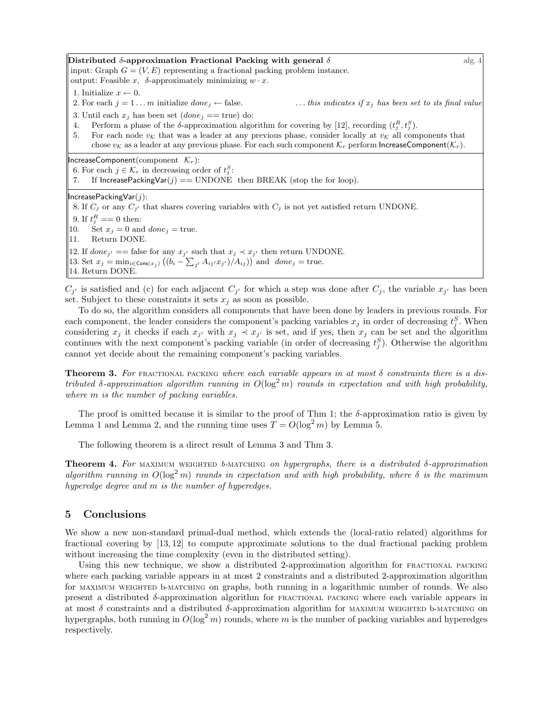Distributed  $\delta$ -approximation Fractional Packing with general  $\delta$  alg.  $\delta$ input: Graph  $G = (V, E)$  representing a fractional packing problem instance. output: Feasible *x*,  $\delta$ -approximately minimizing  $w \cdot x$ . 1. Initialize  $x \leftarrow 0$ .<br>2. For each  $j = 1 \dots m$  initialize *done*<sub>j</sub>  $\leftarrow$  false.  $\ldots$  *this indicates if*  $x_j$  *has been set to its final value* 3. Until each  $x_j$  has been set (*done*<sup> $j$ </sup> == true) do: 4. Perform a phase of the  $\delta$ -approximation algorithm for covering by [12], recording  $(t_j^R, t_j^S)$ . 5. For each node  $v_K$  that was a leader at any previous phase, consider locally at  $v_K$  all components that chose  $v_K$  as a leader at any previous phase. For each such component  $\mathcal{K}_r$  perform IncreaseComponent $(\mathcal{K}_r)$ .  $IncreaseComponent (component \tK_r):$ 6. For each  $j \in \mathcal{K}_r$  in decreasing order of  $t_j^S$ : 7. If IncreasePackingVar( $j$ ) == UNDONE then BREAK (stop the for loop). IncreasePackingVar(*j*): 8. If  $C_i$  or any  $C_{i'}$  that shares covering variables with  $C_i$  is not yet satisfied return UNDONE. 9. If  $t_j^R == 0$  then: 10. Set  $x_j = 0$  and  $done_j = true$ . 11. Return DONE. 12. If  $done_{j'} ==$  false for any  $x_{j'}$  such that  $x_j \prec x_{j'}$  then return UNDONE. 13. Set  $x_j = \min_{i \in \text{Cons}(x_j)} ((b_i - \sum_{j'} A_{ij'} x_{j'}) / A_{ij}))$  and  $done_j = true$ . 14. Return DONE.

 $C_{j'}$  is satisfied and (c) for each adjacent  $C_{j'}$  for which a step was done after  $C_j$ , the variable  $x_{j'}$  has been set. Subject to these constraints it sets  $x_j$  as soon as possible.

To do so, the algorithm considers all components that have been done by leaders in previous rounds. For each component, the leader considers the component's packing variables  $x_j$  in order of decreasing  $t_j^S$ . When considering  $x_j$  it checks if each  $x_{j'}$  with  $x_j \prec x_{j'}$  is set, and if yes, then  $x_j$  can be set and the algorithm continues with the next component's packing variable (in order of decreasing  $t_j^S$ ). Otherwise the algorithm cannot yet decide about the remaining component's packing variables.

**Theorem 3.** For FRACTIONAL PACKING where each variable appears in at most  $\delta$  constraints there is a dis*tributed*  $\delta$ -approximation algorithm running in  $O(\log^2 m)$  rounds in expectation and with high probability, *where m is the number of packing variables.*

The proof is omitted because it is similar to the proof of Thm 1; the  $\delta$ -approximation ratio is given by Lemma 1 and Lemma 2, and the running time uses  $T = O(\log^2 m)$  by Lemma 5.

The following theorem is a direct result of Lemma 3 and Thm 3.

**Theorem 4.** For maximum weighted *b*-matching on hypergraphs, there is a distributed  $\delta$ -approximation algorithm running in  $O(\log^2 m)$  rounds in expectation and with high probability, where  $\delta$  is the maximum *hyperedge degree and m is the number of hyperedges.*

## 5 Conclusions

We show a new non-standard primal-dual method, which extends the (local-ratio related) algorithms for fractional covering by [13, 12] to compute approximate solutions to the dual fractional packing problem without increasing the time complexity (even in the distributed setting).

Using this new technique, we show a distributed 2-approximation algorithm for fractional packing where each packing variable appears in at most 2 constraints and a distributed 2-approximation algorithm for MAXIMUM WEIGHTED b-MATCHING on graphs, both running in a logarithmic number of rounds. We also present a distributed  $\delta$ -approximation algorithm for FRACTIONAL PACKING where each variable appears in at most  $\delta$  constraints and a distributed  $\delta$ -approximation algorithm for MAXIMUM weighted b-MATCHING on hypergraphs, both running in  $O(\log^2 m)$  rounds, where m is the number of packing variables and hyperedges respectively.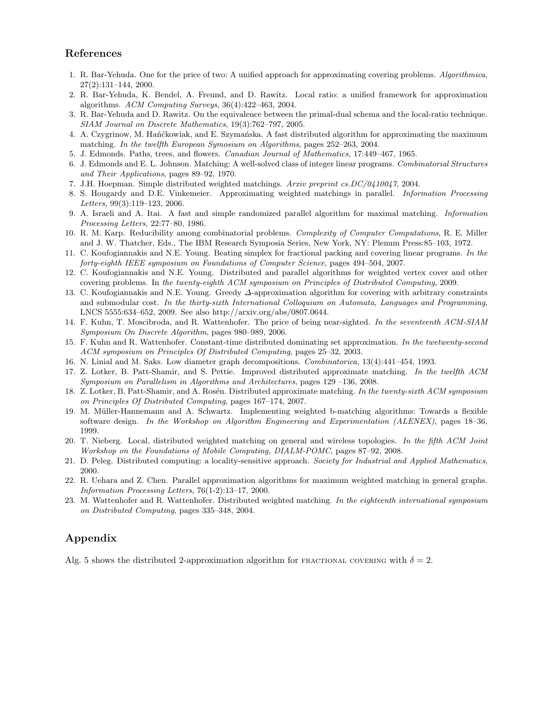## References

- 1. R. Bar-Yehuda. One for the price of two: A unified approach for approximating covering problems. *Algorithmica*, 27(2):131–144, 2000.
- 2. R. Bar-Yehuda, K. Bendel, A. Freund, and D. Rawitz. Local ratio: a unified framework for approximation algorithms. *ACM Computing Surveys*, 36(4):422–463, 2004.
- 3. R. Bar-Yehuda and D. Rawitz. On the equivalence between the primal-dual schema and the local-ratio technique. *SIAM Journal on Discrete Mathematics*, 19(3):762–797, 2005.
- 4. A. Czygrinow, M. Hańćkowiak, and E. Szymańska. A fast distributed algorithm for approximating the maximum matching. *In the twelfth European Symosium on Algorithms*, pages 252–263, 2004.
- 5. J. Edmonds. Paths, trees, and flowers. *Canadian Journal of Mathematics*, 17:449–467, 1965.
- 6. J. Edmonds and E. L. Johnson. Matching: A well-solved class of integer linear programs. *Combinatorial Structures and Their Applications*, pages 89–92, 1970.
- 7. J.H. Hoepman. Simple distributed weighted matchings. *Arxiv preprint cs.DC/0410047*, 2004.
- 8. S. Hougardy and D.E. Vinkemeier. Approximating weighted matchings in parallel. *Information Processing Letters*, 99(3):119–123, 2006.
- 9. A. Israeli and A. Itai. A fast and simple randomized parallel algorithm for maximal matching. *Information Processing Letters*, 22:77–80, 1986.
- 10. R. M. Karp. Reducibility among combinatorial problems. *Complexity of Computer Computations*, R. E. Miller and J. W. Thatcher, Eds., The IBM Research Symposia Series, New York, NY: Plenum Press:85–103, 1972.
- 11. C. Koufogiannakis and N.E. Young. Beating simplex for fractional packing and covering linear programs. *In the forty-eighth IEEE symposium on Foundations of Computer Science*, pages 494–504, 2007.
- 12. C. Koufogiannakis and N.E. Young. Distributed and parallel algorithms for weighted vertex cover and other covering problems. In *the twenty-eighth ACM symposium on Principles of Distributed Computing*, 2009.
- 13. C. Koufogiannakis and N.E. Young. Greedy  $\Delta$ -approximation algorithm for covering with arbitrary constraints and submodular cost. *In the thirty-sixth International Colloquium on Automata, Languages and Programming*, LNCS 5555:634–652, 2009. See also http://arxiv.org/abs/0807.0644.
- 14. F. Kuhn, T. Moscibroda, and R. Wattenhofer. The price of being near-sighted. *In the seventeenth ACM-SIAM Symposium On Discrete Algorithm*, pages 980–989, 2006.
- 15. F. Kuhn and R. Wattenhofer. Constant-time distributed dominating set approximation. *In the twetwenty-second ACM symposium on Principles Of Distributed Computing*, pages 25–32, 2003.
- 16. N. Linial and M. Saks. Low diameter graph decompositions. *Combinatorica*, 13(4):441–454, 1993.
- 17. Z. Lotker, B. Patt-Shamir, and S. Pettie. Improved distributed approximate matching. *In the twelfth ACM Symposium on Parallelism in Algorithms and Architectures*, pages 129 –136, 2008.
- 18. Z. Lotker, B. Patt-Shamir, and A. Rosén. Distributed approximate matching. *In the twenty-sixth ACM symposium on Principles Of Distributed Computing*, pages 167–174, 2007.
- 19. M. Müller-Hannemann and A. Schwartz. Implementing weighted b-matching algorithms: Towards a flexible software design. *In the Workshop on Algorithm Engineering and Experimentation (ALENEX)*, pages 18–36, 1999.
- 20. T. Nieberg. Local, distributed weighted matching on general and wireless topologies. *In the fifth ACM Joint Workshop on the Foundations of Mobile Computing, DIALM-POMC*, pages 87–92, 2008.
- 21. D. Peleg. Distributed computing: a locality-sensitive approach. *Society for Industrial and Applied Mathematics*, 2000.
- 22. R. Uehara and Z. Chen. Parallel approximation algorithms for maximum weighted matching in general graphs. *Information Processing Letters*, 76(1-2):13–17, 2000.
- 23. M. Wattenhofer and R. Wattenhofer. Distributed weighted matching. *In the eighteenth international symposium on Distributed Computing*, pages 335–348, 2004.

## Appendix

Alg. 5 shows the distributed 2-approximation algorithm for FRACTIONAL COVERING with  $\delta = 2$ .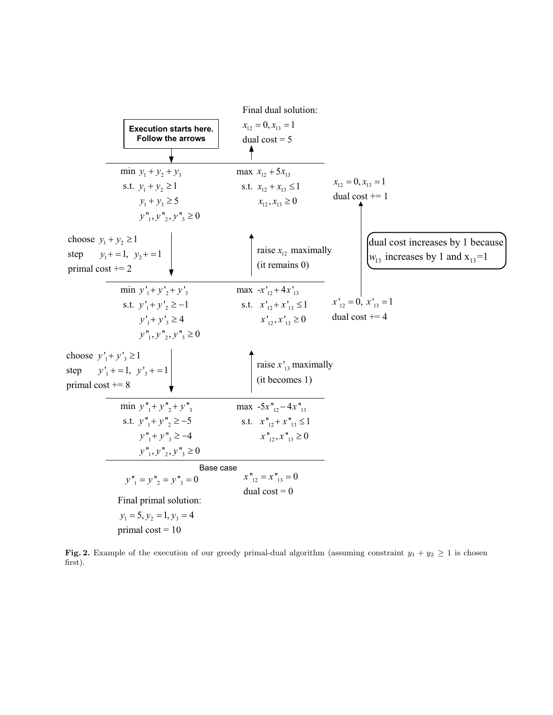

Fig. 2. Example of the execution of our greedy primal-dual algorithm (assuming constraint  $y_1 + y_2 \ge 1$  is chosen first).